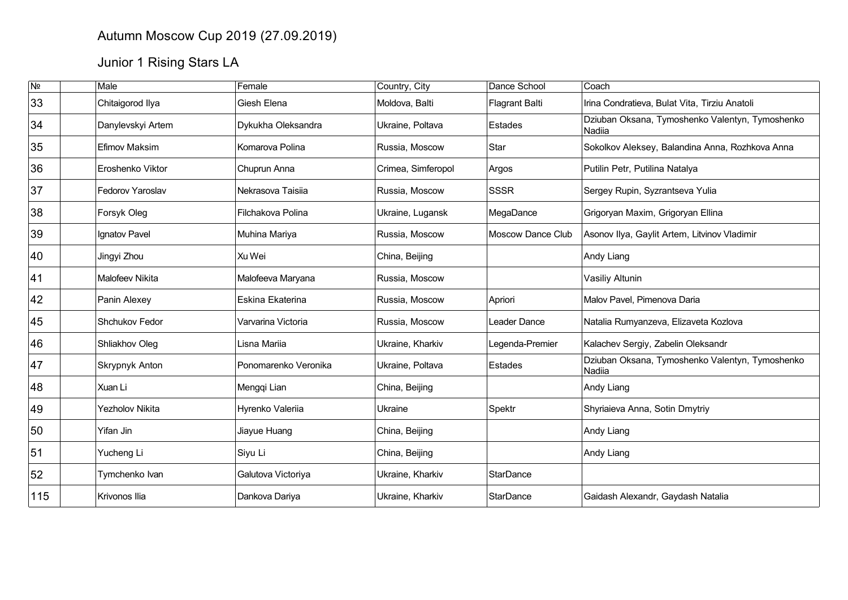## Autumn Moscow Cup 2019 (27.09.2019)

## Junior 1 Rising Stars LA

| $\overline{\mathsf{N}^{\mathsf{0}}}$ | Male                   | Female               | Country, City      | Dance School          | Coach                                                     |
|--------------------------------------|------------------------|----------------------|--------------------|-----------------------|-----------------------------------------------------------|
| 33                                   | Chitaigorod Ilya       | Giesh Elena          | Moldova, Balti     | <b>Flagrant Balti</b> | Irina Condratieva, Bulat Vita, Tirziu Anatoli             |
| 34                                   | Danylevskyi Artem      | Dykukha Oleksandra   | Ukraine, Poltava   | Estades               | Dziuban Oksana, Tymoshenko Valentyn, Tymoshenko<br>Nadiia |
| 35                                   | Efimov Maksim          | Komarova Polina      | Russia, Moscow     | Star                  | Sokolkov Aleksey, Balandina Anna, Rozhkova Anna           |
| 36                                   | Eroshenko Viktor       | Chuprun Anna         | Crimea, Simferopol | Argos                 | Putilin Petr, Putilina Natalya                            |
| 37                                   | Fedorov Yaroslav       | Nekrasova Taisiia    | Russia, Moscow     | <b>SSSR</b>           | Sergey Rupin, Syzrantseva Yulia                           |
| 38                                   | Forsyk Oleg            | Filchakova Polina    | Ukraine, Lugansk   | MegaDance             | Grigoryan Maxim, Grigoryan Ellina                         |
| 39                                   | Ignatov Pavel          | Muhina Mariya        | Russia, Moscow     | Moscow Dance Club     | Asonov Ilya, Gaylit Artem, Litvinov Vladimir              |
| 40                                   | Jingyi Zhou            | Xu Wei               | China, Beijing     |                       | Andy Liang                                                |
| 41                                   | Malofeev Nikita        | Malofeeva Maryana    | Russia, Moscow     |                       | Vasiliy Altunin                                           |
| 42                                   | Panin Alexey           | Eskina Ekaterina     | Russia, Moscow     | Apriori               | Malov Pavel, Pimenova Daria                               |
| 45                                   | Shchukov Fedor         | Varvarina Victoria   | Russia, Moscow     | Leader Dance          | Natalia Rumyanzeva, Elizaveta Kozlova                     |
| 46                                   | Shliakhov Oleg         | Lisna Mariia         | Ukraine, Kharkiv   | Legenda-Premier       | Kalachev Sergiy, Zabelin Oleksandr                        |
| 47                                   | Skrypnyk Anton         | Ponomarenko Veronika | Ukraine, Poltava   | Estades               | Dziuban Oksana, Tymoshenko Valentyn, Tymoshenko<br>Nadiia |
| 48                                   | Xuan Li                | Mengqi Lian          | China, Beijing     |                       | Andy Liang                                                |
| 49                                   | <b>Yezholov Nikita</b> | Hyrenko Valeriia     | Ukraine            | Spektr                | Shyriaieva Anna, Sotin Dmytriy                            |
| 50                                   | Yifan Jin              | Jiayue Huang         | China, Beijing     |                       | Andy Liang                                                |
| 51                                   | Yucheng Li             | Siyu Li              | China, Beijing     |                       | Andy Liang                                                |
| 52                                   | Tymchenko Ivan         | Galutova Victoriya   | Ukraine, Kharkiv   | <b>StarDance</b>      |                                                           |
| 115                                  | ∣Krivonos Ilia         | Dankova Dariya       | Ukraine, Kharkiv   | StarDance             | Gaidash Alexandr, Gaydash Natalia                         |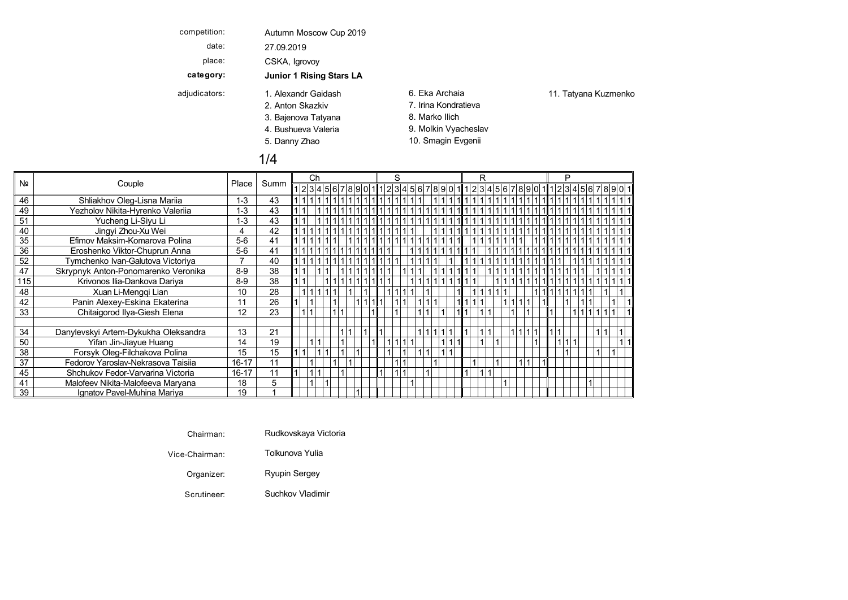| competition:  | Autumn Moscow Cup 2019          |                      |                      |
|---------------|---------------------------------|----------------------|----------------------|
| date:         | 27.09.2019                      |                      |                      |
| place:        | CSKA, Igrovoy                   |                      |                      |
| category:     | <b>Junior 1 Rising Stars LA</b> |                      |                      |
| adjudicators: | 1. Alexandr Gaidash             | 6. Eka Archaia       | 11. Tatyana Kuzmenko |
|               | 2. Anton Skazkiv                | 7. Irina Kondratieva |                      |
|               | 3. Bajenova Tatyana             | 8. Marko Ilich       |                      |
|               | 4. Bushueva Valeria             | 9. Molkin Vyacheslav |                      |
|               | 5. Danny Zhao                   | 10. Smagin Evgenii   |                      |
|               | 1/4                             |                      |                      |

|     |                                      |           |      |  | Ch |  |  |                                                         | S |  |   |  | R |  |  |  | P |  |  |  |  |
|-----|--------------------------------------|-----------|------|--|----|--|--|---------------------------------------------------------|---|--|---|--|---|--|--|--|---|--|--|--|--|
| Nº  | Couple                               | Place     | Summ |  |    |  |  | 1234567890111234567890111234569011234567890111234567890 |   |  |   |  |   |  |  |  |   |  |  |  |  |
| 46  | Shliakhov Oleg-Lisna Mariia          | $1 - 3$   | 43   |  |    |  |  |                                                         |   |  |   |  |   |  |  |  |   |  |  |  |  |
| 49  | Yezholov Nikita-Hyrenko Valeriia     | $1 - 3$   | 43   |  |    |  |  |                                                         |   |  |   |  |   |  |  |  |   |  |  |  |  |
| 51  | Yucheng Li-Siyu Li                   | $1 - 3$   | 43   |  |    |  |  |                                                         |   |  |   |  |   |  |  |  |   |  |  |  |  |
| 40  | Jingyi Zhou-Xu Wei                   |           | 42   |  |    |  |  |                                                         |   |  | 1 |  |   |  |  |  |   |  |  |  |  |
| 35  | Efimov Maksim-Komarova Polina        | $5-6$     | 41   |  |    |  |  |                                                         |   |  |   |  |   |  |  |  |   |  |  |  |  |
| 36  | Eroshenko Viktor-Chuprun Anna        | $5-6$     | 41   |  |    |  |  |                                                         |   |  |   |  |   |  |  |  |   |  |  |  |  |
| 52  | Tymchenko Ivan-Galutova Victoriya    |           | 40   |  |    |  |  |                                                         |   |  |   |  |   |  |  |  |   |  |  |  |  |
| 47  | Skrypnyk Anton-Ponomarenko Veronika  | $8-9$     | 38   |  |    |  |  |                                                         |   |  |   |  |   |  |  |  |   |  |  |  |  |
| 115 | Krivonos Ilia-Dankova Dariya         | $8-9$     | 38   |  |    |  |  |                                                         |   |  |   |  |   |  |  |  |   |  |  |  |  |
| 48  | Xuan Li-Mengqi Lian                  | 10        | 28   |  |    |  |  |                                                         |   |  |   |  |   |  |  |  |   |  |  |  |  |
| 42  | Panin Alexey-Eskina Ekaterina        | 11        | 26   |  |    |  |  |                                                         |   |  |   |  |   |  |  |  |   |  |  |  |  |
| 33  | Chitaigorod Ilya-Giesh Elena         | 12        | 23   |  |    |  |  |                                                         |   |  |   |  |   |  |  |  |   |  |  |  |  |
|     |                                      |           |      |  |    |  |  |                                                         |   |  |   |  |   |  |  |  |   |  |  |  |  |
| 34  | Danylevskyi Artem-Dykukha Oleksandra | 13        | 21   |  |    |  |  |                                                         |   |  |   |  |   |  |  |  |   |  |  |  |  |
| 50  | Yifan Jin-Jiayue Huang               | 14        | 19   |  |    |  |  |                                                         |   |  |   |  |   |  |  |  |   |  |  |  |  |
| 38  | Forsyk Oleg-Filchakova Polina        | 15        | 15   |  |    |  |  |                                                         |   |  |   |  |   |  |  |  |   |  |  |  |  |
| 37  | Fedorov Yaroslav-Nekrasova Taisija   | $16 - 17$ |      |  |    |  |  |                                                         |   |  |   |  |   |  |  |  |   |  |  |  |  |
| 45  | Shchukov Fedor-Varvarina Victoria    | 16-17     | 11   |  |    |  |  |                                                         |   |  |   |  |   |  |  |  |   |  |  |  |  |
| 41  | Malofeev Nikita-Malofeeva Maryana    | 18        | 5    |  |    |  |  |                                                         |   |  |   |  |   |  |  |  |   |  |  |  |  |
| 39  | Ignatov Pavel-Muhina Mariva          | 19        |      |  |    |  |  |                                                         |   |  |   |  |   |  |  |  |   |  |  |  |  |

| Chairman: | Rudkovskava Victoria |  |
|-----------|----------------------|--|
|-----------|----------------------|--|

Vice-Chairman: Tolkunova Yulia

Organizer: Ryupin Sergey

Scrutineer: Suchkov Vladimir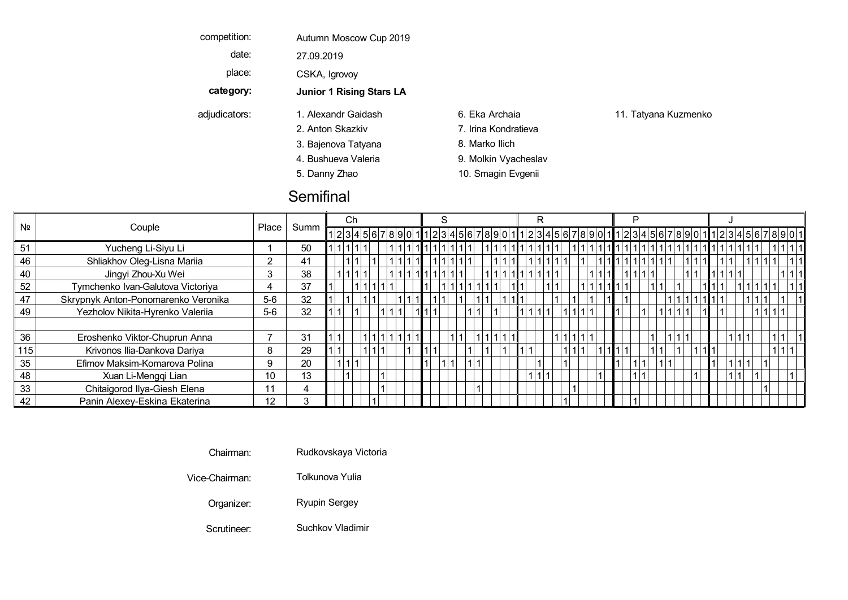| competition:  | Autumn Moscow Cup 2019          |                      |                      |
|---------------|---------------------------------|----------------------|----------------------|
| date:         | 27.09.2019                      |                      |                      |
| place:        | CSKA, Igrovoy                   |                      |                      |
| category:     | <b>Junior 1 Rising Stars LA</b> |                      |                      |
| adjudicators: | 1. Alexandr Gaidash             | 6. Eka Archaia       | 11. Tatyana Kuzmenko |
|               | 2. Anton Skazkiv                | 7. Irina Kondratieva |                      |
|               | 3. Bajenova Tatyana             | 8. Marko Ilich       |                      |
|               | 4. Bushueva Valeria             | 9. Molkin Vyacheslav |                      |
|               | 5. Danny Zhao                   | 10. Smagin Evgenii   |                      |

## **Semifinal**

|                |                                     |       |      |  | Ch |  |                                                                                    |  |  |  |              |  |  |  |  |  |  |  |  |  |
|----------------|-------------------------------------|-------|------|--|----|--|------------------------------------------------------------------------------------|--|--|--|--------------|--|--|--|--|--|--|--|--|--|
| N <sub>2</sub> | Couple                              | Place | Summ |  |    |  | 1234567890111234567890111234567890111234567890111234567890111234567890112345678901 |  |  |  |              |  |  |  |  |  |  |  |  |  |
| 51             | Yucheng Li-Siyu Li                  |       | 50   |  |    |  |                                                                                    |  |  |  |              |  |  |  |  |  |  |  |  |  |
| 46             | Shliakhov Oleg-Lisna Mariia         |       | 41   |  |    |  |                                                                                    |  |  |  |              |  |  |  |  |  |  |  |  |  |
| 40             | Jingyi Zhou-Xu Wei                  |       | 38   |  |    |  | 111                                                                                |  |  |  |              |  |  |  |  |  |  |  |  |  |
| 52             | Tymchenko Ivan-Galutova Victoriya   | 4     | 37   |  |    |  |                                                                                    |  |  |  |              |  |  |  |  |  |  |  |  |  |
| 47             | Skrypnyk Anton-Ponomarenko Veronika | $5-6$ | 32   |  |    |  |                                                                                    |  |  |  |              |  |  |  |  |  |  |  |  |  |
| 49             | Yezholov Nikita-Hyrenko Valeriia    | $5-6$ | 32   |  |    |  |                                                                                    |  |  |  | 11 1 1 1 1 1 |  |  |  |  |  |  |  |  |  |
|                |                                     |       |      |  |    |  |                                                                                    |  |  |  |              |  |  |  |  |  |  |  |  |  |
| 36             | Eroshenko Viktor-Chuprun Anna       |       | 31   |  |    |  |                                                                                    |  |  |  |              |  |  |  |  |  |  |  |  |  |
| 115            | Krivonos Ilia-Dankova Dariya        | 8     | 29   |  |    |  |                                                                                    |  |  |  |              |  |  |  |  |  |  |  |  |  |
| 35             | Efimov Maksim-Komarova Polina       | 9     | 20   |  |    |  |                                                                                    |  |  |  |              |  |  |  |  |  |  |  |  |  |
| 48             | Xuan Li-Mengqi Lian                 | 10    | 13   |  |    |  |                                                                                    |  |  |  |              |  |  |  |  |  |  |  |  |  |
| 33             | Chitaigorod Ilya-Giesh Elena        | 11    | 4    |  |    |  |                                                                                    |  |  |  |              |  |  |  |  |  |  |  |  |  |
| 42             | Panin Alexey-Eskina Ekaterina       | 12    |      |  |    |  |                                                                                    |  |  |  |              |  |  |  |  |  |  |  |  |  |

Chairman: Rudkovskaya Victoria

Vice-Chairman: Tolkunova Yulia Bajenova Marko Viennese V IlichTatyana Waltz

Organizer: Ryupin Sergey Danny Smagin Quickstep Q ZhaoEvgenii

Scrutineer: Suchkov Vladimir Samba Suchkov Vladimir Samba Suchkov Sucha Suchkov Suchkov Suchkov Suchkov Suchkov